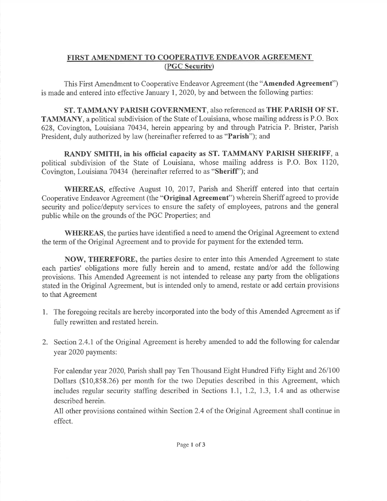## FIRST AMENDMENT TO COOPERATIVE ENDEAVOR AGREEMENT(PGC Security)

This First Amendment to Cooperative Endeavor Agreement (the "Amended Agreement")is made and entered into effective January I,2020, by and between the following parties:

ST. TAMMANY PARISH GOVERNMENT, also referenced as THE PARISH OF ST.TAMMANY, a political subdivision of the State of Louisiana, whose mailing address is P.O. Box 628, Covington, Louisiana 70434, herein appearing by and through Patricia P. Brister, ParishPresident, duly authorized by law (hereinafter referred to as "Parish"); and

RANDY SMITH, in his official capacity as ST. TAMMANY PARISH SHERIFF, a political subdivision of the State of Louisiana, whose mailing address is P.O. Box 1120, Covington, Louisiana 70434 (hereinafter referred to as "Sheriff"); and

WHEREAS, effective August 10, 2017, Parish and Sheriff entered into that certainCooperative Endeavor Agreement (the "**Original Agreement**") wherein Sheriff agreed to provide security and police/deputy services to ensure the safety of employees, patrons and the general public while on the grounds of the PGC Properties; and

WHEREAS, the parties have identified a need to amend the Original Agreement to extendthe term of the Original Agreement and to provide for payment for the extended term.

NOW, THEREFORE, the parties desire to enter into this Amended Agreement to stateeach parties' obligations more fully herein and to amend, restate and/or add the following provisions. This Amended Agreement is not intended to release any party from the obligations stated in the Original Agreement, but is intended only to amend, restate or add certain provisionsto that Agreement

- 1. The foregoing recitals are hereby incorporated into the body of this Amended Agreement as iffully rewritten and restated herein.
- 2. Section 2.4.1 of the Original Agreement is hereby amended to add the following for calendaryear 2020 payments:

For calendar year 2020, Parish shall pay Ten Thousand Eight Hundred Fifty Eight and 26/100 Dollars (\$10,858.26) per month for the two Deputies described in this Agreement, which includes regular security staffing described in Sections 1.1, 1.2, I.3, 1.4 and as otherwisedescribed herein.

All other provisions contained within Section 2.4 of the Original Agreement shall continue ineffect.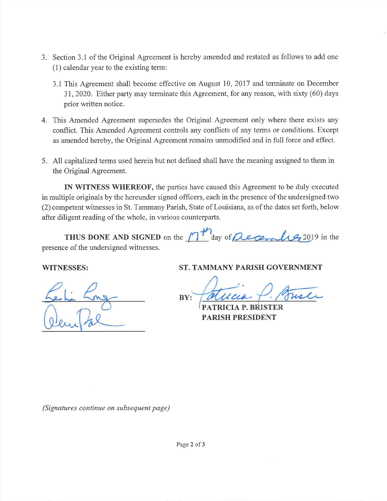- 3. Section 3.1 of the Original Agreement is hereby amended and restated as follows to add one(1) calendar year to the existing term:
	- 3.1 This Agreement shall become effective on August 10,2017 and terminate on December3I,2020. Either party may terminate this Agreement, for any reason, with sixty (60) daysprior written notice.
- 4. This Amended Agreement supersedes the Original Agreement only where there exists any conflict. This Amended Agreement controls any conflicts of any terms or conditions. Except as amended hereby, the Original Agreement remains unmodified and in full force and effect.
- 5. All capitalized terms used herein but not defined shall have the meaning assigned to them inthe Original Agreement.

IN WITNESS WHEREOF, the parties have caused this Agreement to be duly executed in multiple originals by the hereunder signed officers, each in the presence of the undersigned two (2) competent witnesses in St. Tammany Parish, State of Louisiana, as of the dates set forth, belowafter diligent reading of the whole, in various counterparts.

THUS DONE AND SIGNED on the  $\sqrt{1}$  day of *Lecember* 2019 in the presence of the undersigned witnesses.

### WITNESSES:

## ST. TAMMANY PARISH GOVERNMENT

**BY:**  $x: \sqrt{a}$ llca

PATRICIA P.PARISH PRESIDENT

(Signatures continue on subsequent page)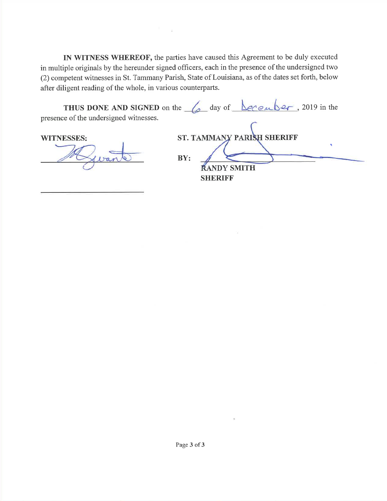IN WITNESS WHEREOF, the parties have caused this Agreement to be duly executed in multiple originals by the hereunder signed officers, each in the presence of the undersigned two (2) competent witnesses in St. Tammany Parish, State of Louisiana, as of the dates set forth, belowafter diligent reading of the whole, in various counterparts.

 $\widetilde{\omega}$ 

|                                        | <b>THUS DONE AND SIGNED</b> on the $\int_{a}$ day of $\int_{c}$ december, 2019 in the |
|----------------------------------------|---------------------------------------------------------------------------------------|
| presence of the undersigned witnesses. |                                                                                       |
| <b>WITNESSES:</b>                      | ST. TAMMANY PARISH SHERIFF                                                            |
|                                        |                                                                                       |

**RANDY SMITH SHERIFF**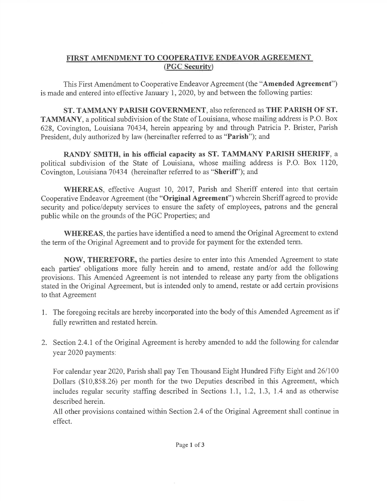# FIRST AMENDMENT TO COOPERATIVE ENDEAVOR AGREEMENT (PGC Security)

This First Amendment to Cooperative Endeavor Agreement (the "Amended Agreement")is made and entered into effective January 1,2020, by and between the following parties:

ST. TAMMANY PARISH GOVERNMENT, also referenced as THE PARISH OF ST.TAMMANY, a political subdivision of the State of Louisiana, whose mailing address is P.O. Box 628, Covington, Louisiana 70434, herein appearing by and through Patricia P. Brister, ParishPresident, duly authorized by law (hereinafter referred to as "Parish"); and

RANDY SMITH, in his official capacify as ST. TAMMANY PARISH SHERIFF, a political subdivision of the State of Louisiana, whose mailing address is P.O. Box 1120, Covington, Louisiana 70434 (hereinafter referred to as "Sheriff'); and

WHEREAS, effective August 10,2017, Parish and Sheriff entered into that certainCooperative Endeavor Agreement (the "**Original Agreement**") wherein Sheriff agreed to provide security and police/deputy services to ensure the safety of employees, patrons and the general public while on the grounds of the PGC Properties; and

WHEREAS, the parties have identified a need to amend the Original Agreement to extendthe term of the Original Agreement and to provide for payment for the extended term.

NOW, THEREFORE, the parties desire to enter into this Amended Agreement to state each parties' obligations more fully herein and to amend, restate and/or add the following provisions. This Amended Agreement is not intended to release any party from the obligations stated in the Original Agreement, but is intended only to amend, restate or add certain provisionsto that Agreement

- 1. The foregoing recitals are hereby incorporated into the body of this Amended Agreement as iffully rewritten and restated herein.
- 2. Section 2.4.1 of the Original Agreement is hereby amended to add the following for calendaryear 2020 payments:

For calendar year 2020, Parish shall pay Ten Thousand Eight Hundred Fifty Eight and 26/100 Dollars (\$10,858.26) per month for the two Deputies described in this Agreement, which includes regular security staffing described in Sections 1.1, 1.2, 1.3, 1.4 and as otherwisedescribed herein.

All other provisions contained within Section 2.4 of the Original Agreement shall continue ineffect.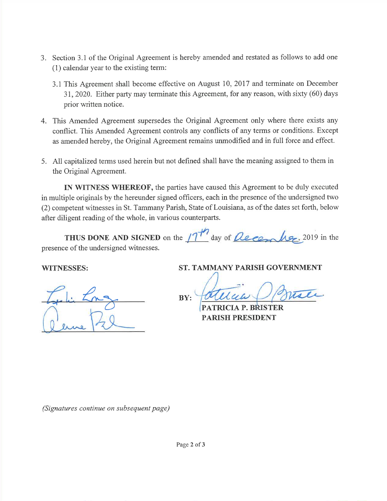- 3. Section 3.1 of the Original Agreement is hereby amended and restated as follows to add one(1) calendar year to the existing term:
	- 3.1 This Agreement shall become effective on August 10,2017 and terminate on December31,2020. Either party may terminate this Agreement, for any reason, with sixty (60) daysprior written notice.
- 4. This Amended Agreement supersedes the Original Agreement only where there exists any conflict. This Amended Agreement controls any conflicts of any terms or conditions. Except as amended hereby, the Original Agreement remains unmodified and in full force and effect.
- 5. All capitalized terms used herein but not defined shall have the meaning assigned to them inthe Original Agreement.

IN WITNESS WHEREOF, the parties have caused this Agreement to be duly executed in multiple originals by the hereunder signed officers, each in the presence of the undersigned two (2) competent witnesses in St. Tammany Parish, State of Louisiana, as ofthe dates set forth, belowafter diligent reading of the whole, in various counterparts.

| THUS DONE AND SIGNED on the $1717$ day of <i>December</i> , 2019 in the |  |  |  |  |  |
|-------------------------------------------------------------------------|--|--|--|--|--|
| presence of the undersigned witnesses.                                  |  |  |  |  |  |

 $\mathcal{L}$ 

### WITNESSES:

ftPhi Lng

ST. TAMMANY PARISH GOVERNMENT

BY:

PATRICIA P. BRISTER PARISH PRESIDENT

(Signatures continue on subsequent page)